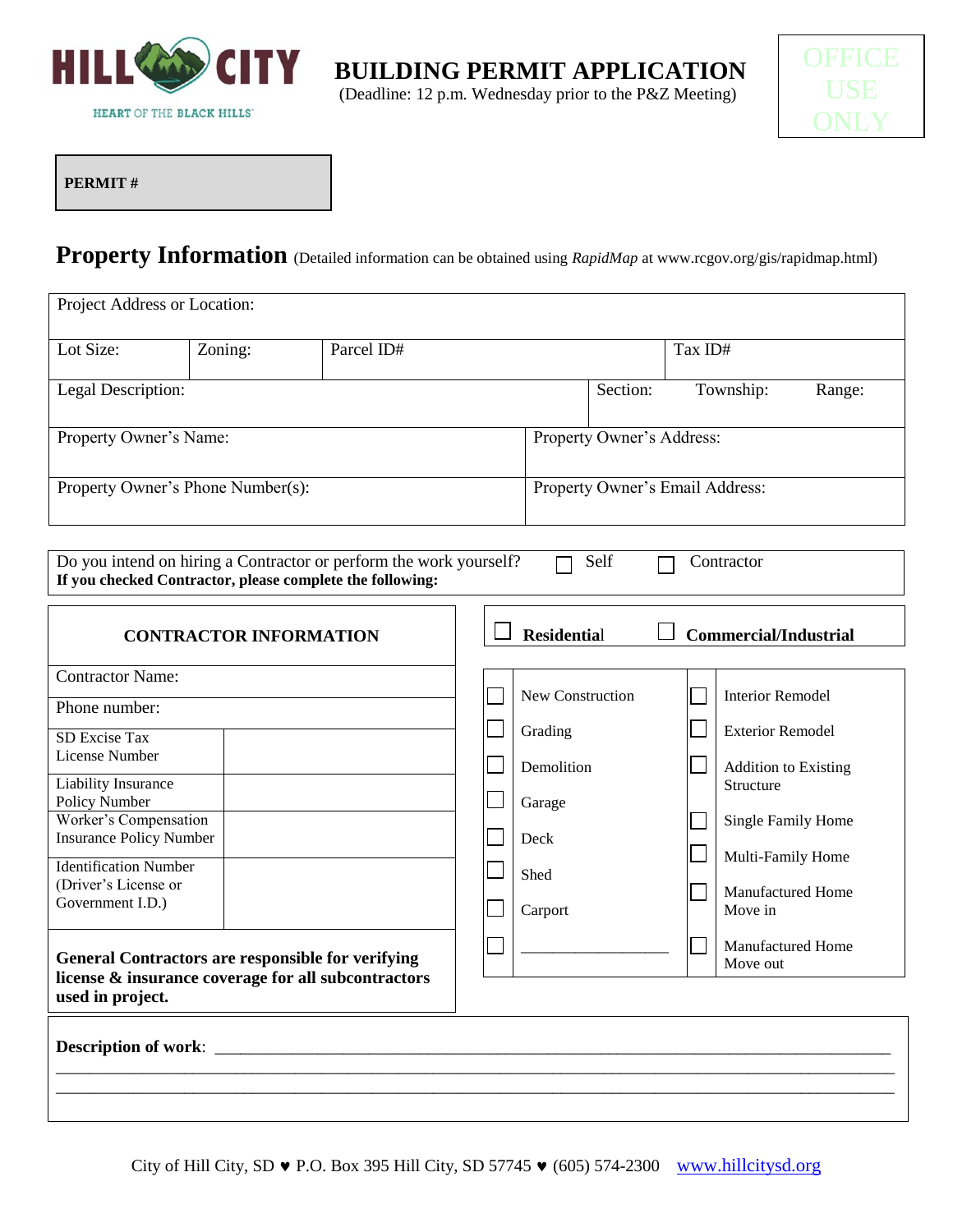

**K** BUILDING PERMIT APPLICATION



**PERMIT #**

# **Property Information** (Detailed information can be obtained using *RapidMap* at www.rcgov.org/gis/rapidmap.html)

| Project Address or Location:                            |                                   |                                                                                                                                 |                    |                                 |         |                                      |        |
|---------------------------------------------------------|-----------------------------------|---------------------------------------------------------------------------------------------------------------------------------|--------------------|---------------------------------|---------|--------------------------------------|--------|
| Lot Size:                                               | Zoning:                           | Parcel ID#                                                                                                                      |                    |                                 | Tax ID# |                                      |        |
| Legal Description:                                      |                                   |                                                                                                                                 |                    | Section:                        |         | Township:                            | Range: |
| Property Owner's Name:                                  |                                   |                                                                                                                                 |                    | Property Owner's Address:       |         |                                      |        |
|                                                         | Property Owner's Phone Number(s): |                                                                                                                                 |                    | Property Owner's Email Address: |         |                                      |        |
|                                                         |                                   | Do you intend on hiring a Contractor or perform the work yourself?<br>If you checked Contractor, please complete the following: |                    | Self                            |         | Contractor                           |        |
|                                                         | <b>CONTRACTOR INFORMATION</b>     |                                                                                                                                 | <b>Residential</b> |                                 |         | <b>Commercial/Industrial</b>         |        |
| <b>Contractor Name:</b>                                 |                                   |                                                                                                                                 | New Construction   |                                 |         | <b>Interior Remodel</b>              |        |
| Phone number:                                           |                                   |                                                                                                                                 | Grading            |                                 |         | <b>Exterior Remodel</b>              |        |
| <b>SD Excise Tax</b><br>License Number                  |                                   |                                                                                                                                 | Demolition         |                                 |         | <b>Addition to Existing</b>          |        |
| <b>Liability Insurance</b><br>Policy Number             |                                   |                                                                                                                                 | Garage             |                                 |         | Structure                            |        |
| Worker's Compensation<br><b>Insurance Policy Number</b> |                                   |                                                                                                                                 | Deck               |                                 |         | Single Family Home                   |        |
| <b>Identification Number</b>                            |                                   |                                                                                                                                 | Shed               |                                 |         | Multi-Family Home                    |        |
| (Driver's License or<br>Government I.D.)                |                                   |                                                                                                                                 | Carport            |                                 |         | Manufactured Home<br>Move in         |        |
| used in project.                                        |                                   | <b>General Contractors are responsible for verifying</b><br>license & insurance coverage for all subcontractors                 |                    |                                 |         | <b>Manufactured Home</b><br>Move out |        |
| <b>Description of work:</b>                             |                                   |                                                                                                                                 |                    |                                 |         |                                      |        |

\_\_\_\_\_\_\_\_\_\_\_\_\_\_\_\_\_\_\_\_\_\_\_\_\_\_\_\_\_\_\_\_\_\_\_\_\_\_\_\_\_\_\_\_\_\_\_\_\_\_\_\_\_\_\_\_\_\_\_\_\_\_\_\_\_\_\_\_\_\_\_\_\_\_\_\_\_\_\_\_\_\_\_\_\_\_\_\_\_\_\_\_\_\_\_\_\_\_ \_\_\_\_\_\_\_\_\_\_\_\_\_\_\_\_\_\_\_\_\_\_\_\_\_\_\_\_\_\_\_\_\_\_\_\_\_\_\_\_\_\_\_\_\_\_\_\_\_\_\_\_\_\_\_\_\_\_\_\_\_\_\_\_\_\_\_\_\_\_\_\_\_\_\_\_\_\_\_\_\_\_\_\_\_\_\_\_\_\_\_\_\_\_\_\_\_\_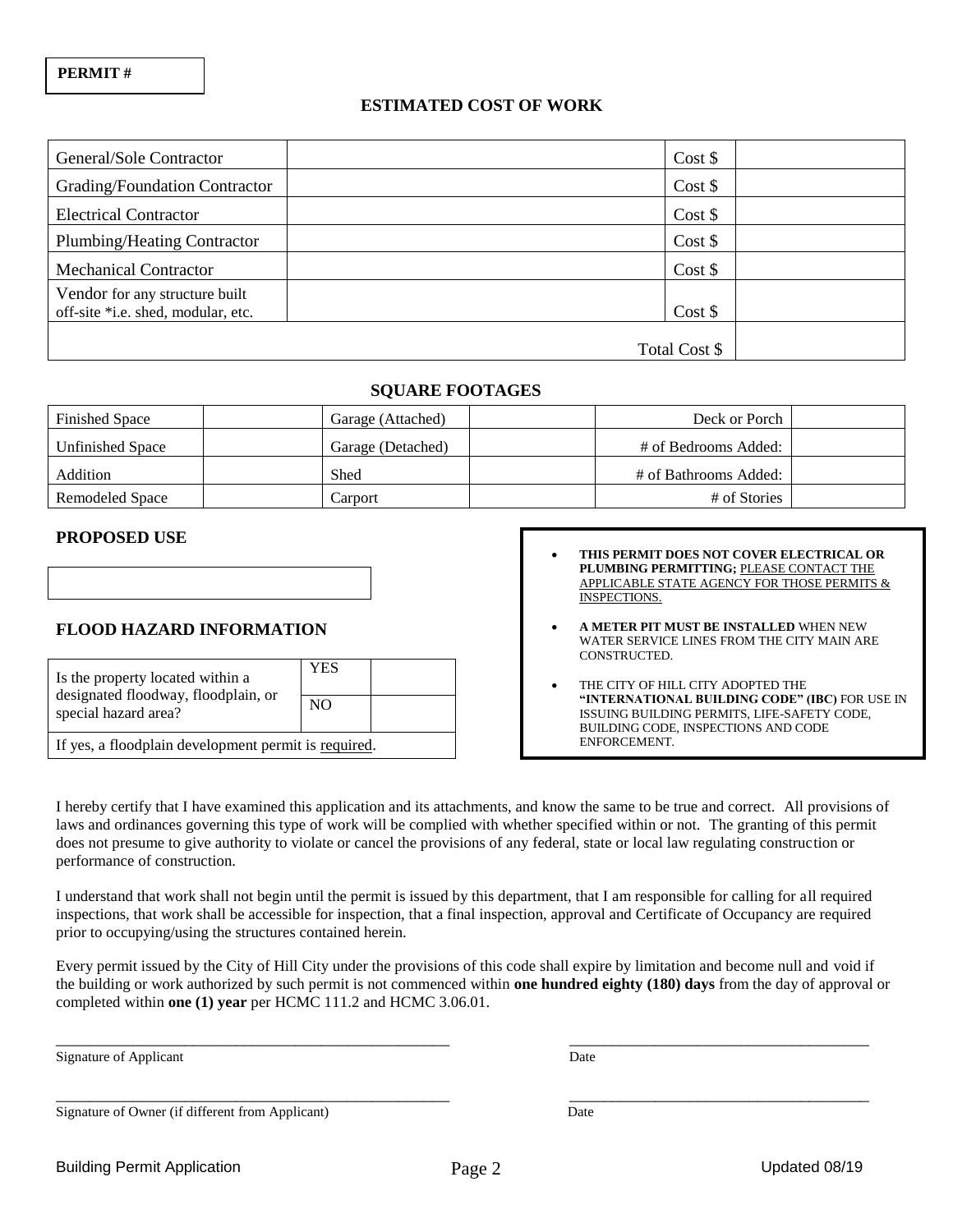### **ESTIMATED COST OF WORK**

| General/Sole Contractor            | Cost \$       |  |
|------------------------------------|---------------|--|
| Grading/Foundation Contractor      | Cost \$       |  |
| <b>Electrical Contractor</b>       | Cost \$       |  |
| Plumbing/Heating Contractor        | Cost \$       |  |
| <b>Mechanical Contractor</b>       | Cost \$       |  |
| Vendor for any structure built     |               |  |
| off-site *i.e. shed, modular, etc. | Cost \$       |  |
|                                    |               |  |
|                                    | Total Cost \$ |  |

### **SQUARE FOOTAGES**

| <b>Finished Space</b>   | Garage (Attached) | Deck or Porch         |
|-------------------------|-------------------|-----------------------|
| <b>Unfinished Space</b> | Garage (Detached) | # of Bedrooms Added:  |
| Addition                | Shed              | # of Bathrooms Added: |
| Remodeled Space         | Carport           | # of Stories          |

#### **PROPOSED USE**

| <b>FLOOD HAZARD INFORMATION</b> |  |
|---------------------------------|--|

| Is the property located within a                            | YES            |  |
|-------------------------------------------------------------|----------------|--|
| designated floodway, floodplain, or<br>special hazard area? | N <sub>O</sub> |  |
| If yes, a floodplain development permit is required.        |                |  |

| $\bullet$ | THIS PERMIT DOES NOT COVER ELECTRICAL OR    |
|-----------|---------------------------------------------|
|           | PLUMBING PERMITTING; PLEASE CONTACT THE     |
|           | APPLICABLE STATE AGENCY FOR THOSE PERMITS & |
|           | INSPECTIONS.                                |

- **A METER PIT MUST BE INSTALLED** WHEN NEW WATER SERVICE LINES FROM THE CITY MAIN ARE CONSTRUCTED.
- THE CITY OF HILL CITY ADOPTED THE **"INTERNATIONAL BUILDING CODE" (IBC)** FOR USE IN ISSUING BUILDING PERMITS, LIFE-SAFETY CODE, BUILDING CODE, INSPECTIONS AND CODE ENFORCEMENT.

I hereby certify that I have examined this application and its attachments, and know the same to be true and correct. All provisions of laws and ordinances governing this type of work will be complied with whether specified within or not. The granting of this permit does not presume to give authority to violate or cancel the provisions of any federal, state or local law regulating construction or performance of construction.

I understand that work shall not begin until the permit is issued by this department, that I am responsible for calling for all required inspections, that work shall be accessible for inspection, that a final inspection, approval and Certificate of Occupancy are required prior to occupying/using the structures contained herein.

Every permit issued by the City of Hill City under the provisions of this code shall expire by limitation and become null and void if the building or work authorized by such permit is not commenced within **one hundred eighty (180) days** from the day of approval or completed within **one (1) year** per HCMC 111.2 and HCMC 3.06.01.

\_\_\_\_\_\_\_\_\_\_\_\_\_\_\_\_\_\_\_\_\_\_\_\_\_\_\_\_\_\_\_\_\_\_\_\_\_\_\_\_\_\_\_\_\_\_ \_\_\_\_\_\_\_\_\_\_\_\_\_\_\_\_\_\_\_\_\_\_\_\_\_\_\_\_\_\_\_\_\_\_\_

\_\_\_\_\_\_\_\_\_\_\_\_\_\_\_\_\_\_\_\_\_\_\_\_\_\_\_\_\_\_\_\_\_\_\_\_\_\_\_\_\_\_\_\_\_\_ \_\_\_\_\_\_\_\_\_\_\_\_\_\_\_\_\_\_\_\_\_\_\_\_\_\_\_\_\_\_\_\_\_\_\_

Signature of Applicant Date

Signature of Owner (if different from Applicant) Date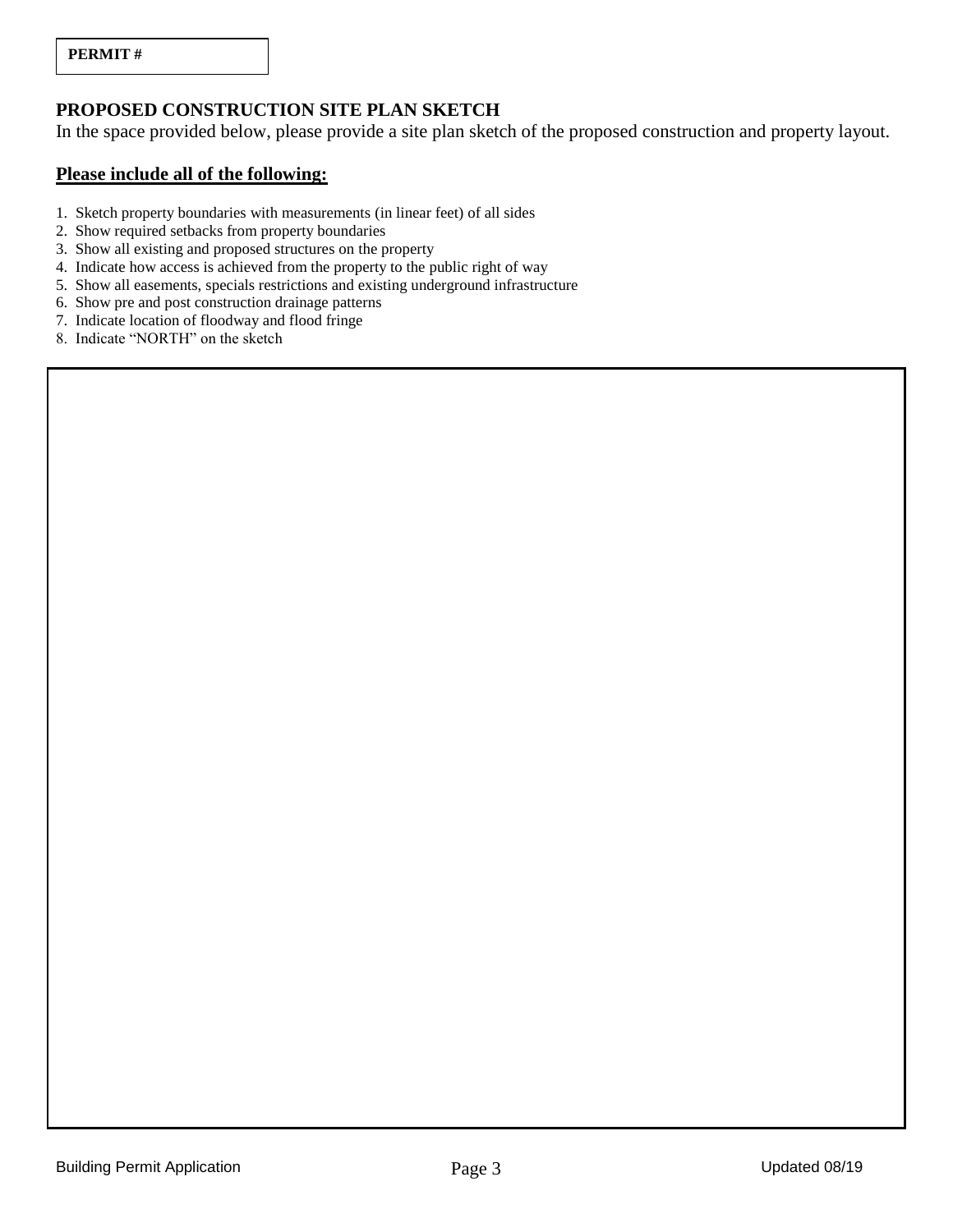## **PROPOSED CONSTRUCTION SITE PLAN SKETCH**

In the space provided below, please provide a site plan sketch of the proposed construction and property layout.

### **Please include all of the following:**

- 1. Sketch property boundaries with measurements (in linear feet) of all sides
- 2. Show required setbacks from property boundaries
- 3. Show all existing and proposed structures on the property
- 4. Indicate how access is achieved from the property to the public right of way
- 5. Show all easements, specials restrictions and existing underground infrastructure
- 6. Show pre and post construction drainage patterns
- 7. Indicate location of floodway and flood fringe
- 8. Indicate "NORTH" on the sketch